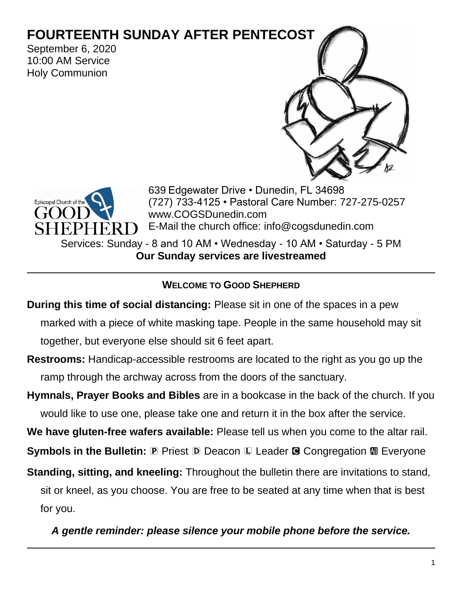# **FOURTEENTH SUNDAY AFTER PENTECOST**

September 6, 2020 10:00 AM Service Holy Communion





639 Edgewater Drive • Dunedin, FL 34698 (727) 733-4125 • Pastoral Care Number: 727-275-0257 www.COGSDunedin.com E-Mail the church office: info@cogsdunedin.com

Services: Sunday - 8 and 10 AM • Wednesday - 10 AM • Saturday - 5 PM **Our Sunday services are livestreamed**

### **WELCOME TO GOOD SHEPHERD**

**During this time of social distancing:** Please sit in one of the spaces in a pew

marked with a piece of white masking tape. People in the same household may sit together, but everyone else should sit 6 feet apart.

**Restrooms:** Handicap-accessible restrooms are located to the right as you go up the ramp through the archway across from the doors of the sanctuary.

**Hymnals, Prayer Books and Bibles** are in a bookcase in the back of the church. If you would like to use one, please take one and return it in the box after the service.

**We have gluten-free wafers available:** Please tell us when you come to the altar rail.

**Symbols in the Bulletin: P Priest D Deacon L Leader G Congregation**  $M$  **Everyone** 

**Standing, sitting, and kneeling:** Throughout the bulletin there are invitations to stand, sit or kneel, as you choose. You are free to be seated at any time when that is best for you.

*A gentle reminder: please silence your mobile phone before the service.*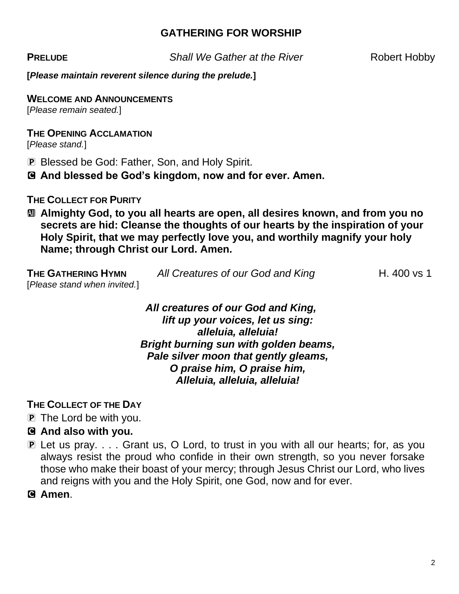### **GATHERING FOR WORSHIP**

**PRELUDE** Shall We Gather at the River Robert Hobby

**[***Please maintain reverent silence during the prelude.***]**

**WELCOME AND ANNOUNCEMENTS**

[*Please remain seated.*]

#### **THE OPENING ACCLAMATION**

[*Please stand.*]

- P Blessed be God: Father, Son, and Holy Spirit.
- C **And blessed be God's kingdom, now and for ever. Amen.**

### **THE COLLECT FOR PURITY**

a **Almighty God, to you all hearts are open, all desires known, and from you no secrets are hid: Cleanse the thoughts of our hearts by the inspiration of your Holy Spirit, that we may perfectly love you, and worthily magnify your holy Name; through Christ our Lord. Amen.**

| THE GATHERING HYMN           | All Creatures of our God and King | H. 400 vs 1 |
|------------------------------|-----------------------------------|-------------|
| [Please stand when invited.] |                                   |             |

#### *All creatures of our God and King, lift up your voices, let us sing: alleluia, alleluia! Bright burning sun with golden beams, Pale silver moon that gently gleams, O praise him, O praise him, Alleluia, alleluia, alleluia!*

**THE COLLECT OF THE DAY**

P The Lord be with you.

# C **And also with you.**

P Let us pray. . . . Grant us, O Lord, to trust in you with all our hearts; for, as you always resist the proud who confide in their own strength, so you never forsake those who make their boast of your mercy; through Jesus Christ our Lord, who lives and reigns with you and the Holy Spirit, one God, now and for ever.

C **Amen**.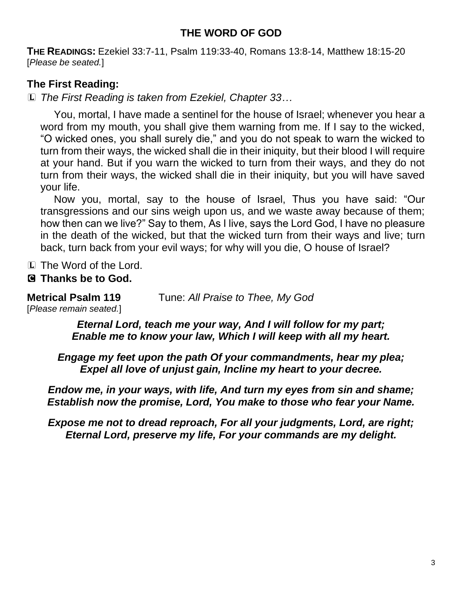# **THE WORD OF GOD**

**THE READINGS:** Ezekiel 33:7-11, Psalm 119:33-40, Romans 13:8-14, Matthew 18:15-20 [*Please be seated.*]

# **The First Reading:**

L *The First Reading is taken from Ezekiel, Chapter 33…*

You, mortal, I have made a sentinel for the house of Israel; whenever you hear a word from my mouth, you shall give them warning from me. If I say to the wicked, "O wicked ones, you shall surely die," and you do not speak to warn the wicked to turn from their ways, the wicked shall die in their iniquity, but their blood I will require at your hand. But if you warn the wicked to turn from their ways, and they do not turn from their ways, the wicked shall die in their iniquity, but you will have saved your life.

Now you, mortal, say to the house of Israel, Thus you have said: "Our transgressions and our sins weigh upon us, and we waste away because of them; how then can we live?" Say to them, As I live, says the Lord God, I have no pleasure in the death of the wicked, but that the wicked turn from their ways and live; turn back, turn back from your evil ways; for why will you die, O house of Israel?

L The Word of the Lord.

# C **Thanks be to God.**

**Metrical Psalm 119** Tune: *All Praise to Thee, My God* [*Please remain seated.*]

> *Eternal Lord, teach me your way, And I will follow for my part; Enable me to know your law, Which I will keep with all my heart.*

*Engage my feet upon the path Of your commandments, hear my plea; Expel all love of unjust gain, Incline my heart to your decree.*

*Endow me, in your ways, with life, And turn my eyes from sin and shame; Establish now the promise, Lord, You make to those who fear your Name.*

*Expose me not to dread reproach, For all your judgments, Lord, are right; Eternal Lord, preserve my life, For your commands are my delight.*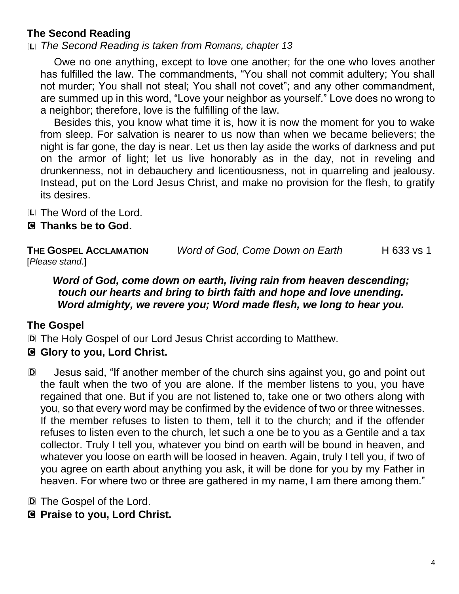# **The Second Reading**

L *The Second Reading is taken from Romans, chapter 13*

Owe no one anything, except to love one another; for the one who loves another has fulfilled the law. The commandments, "You shall not commit adultery; You shall not murder; You shall not steal; You shall not covet"; and any other commandment, are summed up in this word, "Love your neighbor as yourself." Love does no wrong to a neighbor; therefore, love is the fulfilling of the law.

Besides this, you know what time it is, how it is now the moment for you to wake from sleep. For salvation is nearer to us now than when we became believers; the night is far gone, the day is near. Let us then lay aside the works of darkness and put on the armor of light; let us live honorably as in the day, not in reveling and drunkenness, not in debauchery and licentiousness, not in quarreling and jealousy. Instead, put on the Lord Jesus Christ, and make no provision for the flesh, to gratify its desires.

L The Word of the Lord.

### C **Thanks be to God.**

**THE GOSPEL ACCLAMATION** *Word of God, Come Down on Earth* H 633 vs 1 [*Please stand.*]

*Word of God, come down on earth, living rain from heaven descending; touch our hearts and bring to birth faith and hope and love unending. Word almighty, we revere you; Word made flesh, we long to hear you.* 

# **The Gospel**

D The Holy Gospel of our Lord Jesus Christ according to Matthew.

# C **Glory to you, Lord Christ.**

D Jesus said, "If another member of the church sins against you, go and point out the fault when the two of you are alone. If the member listens to you, you have regained that one. But if you are not listened to, take one or two others along with you, so that every word may be confirmed by the evidence of two or three witnesses. If the member refuses to listen to them, tell it to the church; and if the offender refuses to listen even to the church, let such a one be to you as a Gentile and a tax collector. Truly I tell you, whatever you bind on earth will be bound in heaven, and whatever you loose on earth will be loosed in heaven. Again, truly I tell you, if two of you agree on earth about anything you ask, it will be done for you by my Father in heaven. For where two or three are gathered in my name, I am there among them."

D The Gospel of the Lord.

C **Praise to you, Lord Christ.**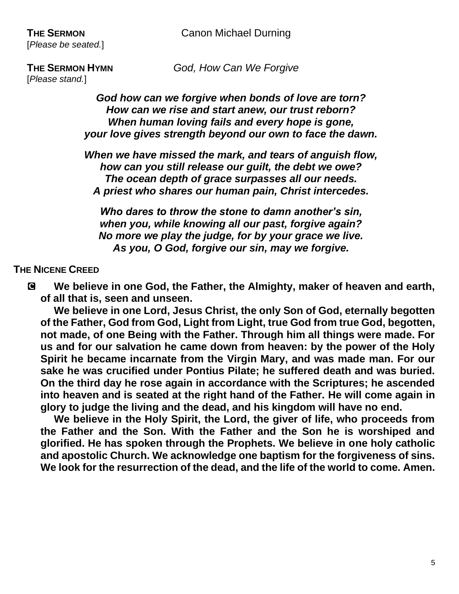[*Please stand.*]

**THE SERMON HYMN** *God, How Can We Forgive*

*God how can we forgive when bonds of love are torn? How can we rise and start anew, our trust reborn? When human loving fails and every hope is gone, your love gives strength beyond our own to face the dawn.* 

*When we have missed the mark, and tears of anguish flow, how can you still release our guilt, the debt we owe? The ocean depth of grace surpasses all our needs. A priest who shares our human pain, Christ intercedes.* 

*Who dares to throw the stone to damn another's sin, when you, while knowing all our past, forgive again? No more we play the judge, for by your grace we live. As you, O God, forgive our sin, may we forgive.*

# **THE NICENE CREED**

C **We believe in one God, the Father, the Almighty, maker of heaven and earth, of all that is, seen and unseen.** 

**We believe in one Lord, Jesus Christ, the only Son of God, eternally begotten of the Father, God from God, Light from Light, true God from true God, begotten, not made, of one Being with the Father. Through him all things were made. For us and for our salvation he came down from heaven: by the power of the Holy Spirit he became incarnate from the Virgin Mary, and was made man. For our sake he was crucified under Pontius Pilate; he suffered death and was buried. On the third day he rose again in accordance with the Scriptures; he ascended into heaven and is seated at the right hand of the Father. He will come again in glory to judge the living and the dead, and his kingdom will have no end.**

**We believe in the Holy Spirit, the Lord, the giver of life, who proceeds from the Father and the Son. With the Father and the Son he is worshiped and glorified. He has spoken through the Prophets. We believe in one holy catholic and apostolic Church. We acknowledge one baptism for the forgiveness of sins. We look for the resurrection of the dead, and the life of the world to come. Amen.**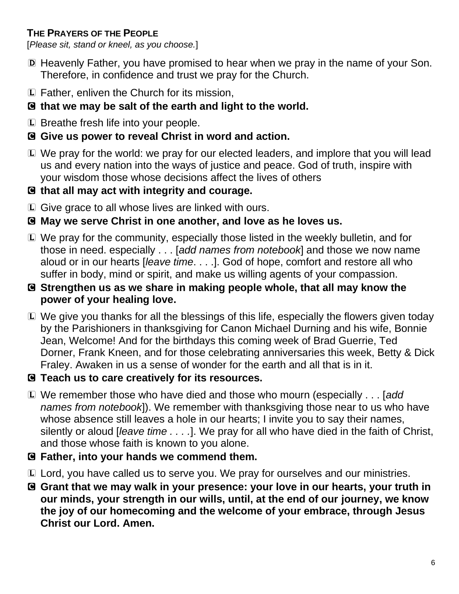# **THE PRAYERS OF THE PEOPLE**

[*Please sit, stand or kneel, as you choose.*]

- D Heavenly Father, you have promised to hear when we pray in the name of your Son. Therefore, in confidence and trust we pray for the Church.
- L Father, enliven the Church for its mission,
- C **that we may be salt of the earth and light to the world.**
- L Breathe fresh life into your people.
- C **Give us power to reveal Christ in word and action.**
- L We pray for the world: we pray for our elected leaders, and implore that you will lead us and every nation into the ways of justice and peace. God of truth, inspire with your wisdom those whose decisions affect the lives of others
- C **that all may act with integrity and courage.**
- L Give grace to all whose lives are linked with ours.

# C **May we serve Christ in one another, and love as he loves us.**

- L We pray for the community, especially those listed in the weekly bulletin, and for those in need. especially . . . [*add names from notebook*] and those we now name aloud or in our hearts [*leave time*. . . .]. God of hope, comfort and restore all who suffer in body, mind or spirit, and make us willing agents of your compassion.
- C **Strengthen us as we share in making people whole, that all may know the power of your healing love.**
- L We give you thanks for all the blessings of this life, especially the flowers given today by the Parishioners in thanksgiving for Canon Michael Durning and his wife, Bonnie Jean, Welcome! And for the birthdays this coming week of Brad Guerrie, Ted Dorner, Frank Kneen, and for those celebrating anniversaries this week, Betty & Dick Fraley. Awaken in us a sense of wonder for the earth and all that is in it.

# C **Teach us to care creatively for its resources.**

- L We remember those who have died and those who mourn (especially . . . [*add names from notebook*]). We remember with thanksgiving those near to us who have whose absence still leaves a hole in our hearts; I invite you to say their names, silently or aloud [*leave time . . . .*]. We pray for all who have died in the faith of Christ, and those whose faith is known to you alone.
- C **Father, into your hands we commend them.**
- L Lord, you have called us to serve you. We pray for ourselves and our ministries.
- C **Grant that we may walk in your presence: your love in our hearts, your truth in our minds, your strength in our wills, until, at the end of our journey, we know the joy of our homecoming and the welcome of your embrace, through Jesus Christ our Lord. Amen.**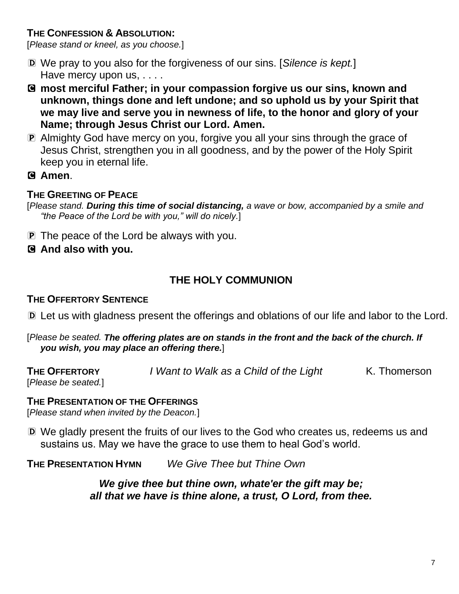# **THE CONFESSION & ABSOLUTION:**

[*Please stand or kneel, as you choose.*]

- D We pray to you also for the forgiveness of our sins. [*Silence is kept.*] Have mercy upon us, . . . .
- C **most merciful Father; in your compassion forgive us our sins, known and unknown, things done and left undone; and so uphold us by your Spirit that we may live and serve you in newness of life, to the honor and glory of your Name; through Jesus Christ our Lord. Amen.**
- P Almighty God have mercy on you, forgive you all your sins through the grace of Jesus Christ, strengthen you in all goodness, and by the power of the Holy Spirit keep you in eternal life.
- C **Amen**.

# **THE GREETING OF PEACE**

[*Please stand. During this time of social distancing, a wave or bow, accompanied by a smile and "the Peace of the Lord be with you," will do nicely.*]

- **P** The peace of the Lord be always with you.
- C **And also with you.**

# **THE HOLY COMMUNION**

#### **THE OFFERTORY SENTENCE**

- D Let us with gladness present the offerings and oblations of our life and labor to the Lord.
- [*Please be seated. The offering plates are on stands in the front and the back of the church. If you wish, you may place an offering there.*]
- 
- **THE OFFERTORY** *I Want to Walk as a Child of the Light* K. Thomerson

[*Please be seated.*]

#### **THE PRESENTATION OF THE OFFERINGS**

[*Please stand when invited by the Deacon.*]

D We gladly present the fruits of our lives to the God who creates us, redeems us and sustains us. May we have the grace to use them to heal God's world.

**THE PRESENTATION HYMN** *We Give Thee but Thine Own*

*We give thee but thine own, whate'er the gift may be; all that we have is thine alone, a trust, O Lord, from thee.*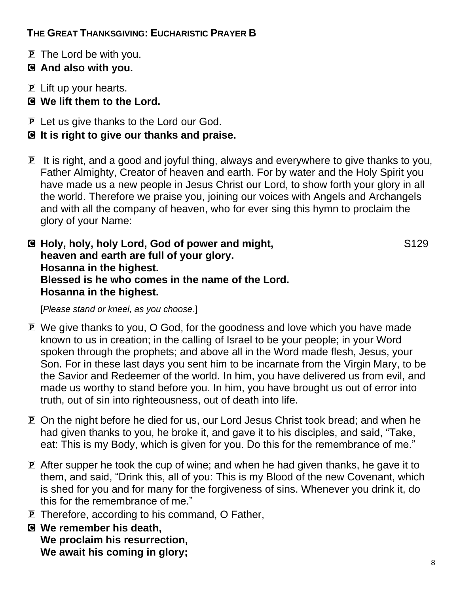# **THE GREAT THANKSGIVING: EUCHARISTIC PRAYER B**

- P The Lord be with you.
- C **And also with you.**
- P Lift up your hearts.
- C **We lift them to the Lord.**
- P Let us give thanks to the Lord our God.
- C **It is right to give our thanks and praise.**
- P It is right, and a good and joyful thing, always and everywhere to give thanks to you, Father Almighty, Creator of heaven and earth. For by water and the Holy Spirit you have made us a new people in Jesus Christ our Lord, to show forth your glory in all the world. Therefore we praise you, joining our voices with Angels and Archangels and with all the company of heaven, who for ever sing this hymn to proclaim the glory of your Name:

C **Holy, holy, holy Lord, God of power and might,** S129 **heaven and earth are full of your glory. Hosanna in the highest. Blessed is he who comes in the name of the Lord. Hosanna in the highest.** 

[*Please stand or kneel, as you choose.*]

- P We give thanks to you, O God, for the goodness and love which you have made known to us in creation; in the calling of Israel to be your people; in your Word spoken through the prophets; and above all in the Word made flesh, Jesus, your Son. For in these last days you sent him to be incarnate from the Virgin Mary, to be the Savior and Redeemer of the world. In him, you have delivered us from evil, and made us worthy to stand before you. In him, you have brought us out of error into truth, out of sin into righteousness, out of death into life.
- P On the night before he died for us, our Lord Jesus Christ took bread; and when he had given thanks to you, he broke it, and gave it to his disciples, and said, "Take, eat: This is my Body, which is given for you. Do this for the remembrance of me."
- P After supper he took the cup of wine; and when he had given thanks, he gave it to them, and said, "Drink this, all of you: This is my Blood of the new Covenant, which is shed for you and for many for the forgiveness of sins. Whenever you drink it, do this for the remembrance of me."
- P Therefore, according to his command, O Father,
- C **We remember his death, We proclaim his resurrection, We await his coming in glory;**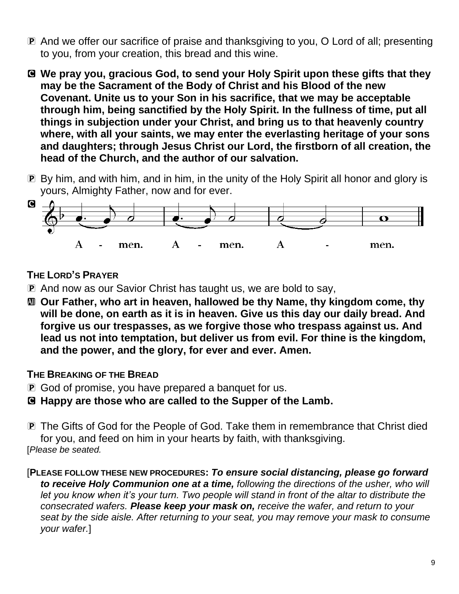- P And we offer our sacrifice of praise and thanksgiving to you, O Lord of all; presenting to you, from your creation, this bread and this wine.
- C **We pray you, gracious God, to send your Holy Spirit upon these gifts that they may be the Sacrament of the Body of Christ and his Blood of the new Covenant. Unite us to your Son in his sacrifice, that we may be acceptable through him, being sanctified by the Holy Spirit. In the fullness of time, put all things in subjection under your Christ, and bring us to that heavenly country where, with all your saints, we may enter the everlasting heritage of your sons and daughters; through Jesus Christ our Lord, the firstborn of all creation, the head of the Church, and the author of our salvation.**
- P By him, and with him, and in him, in the unity of the Holy Spirit all honor and glory is yours, Almighty Father, now and for ever.



# **THE LORD'S PRAYER**

- P And now as our Savior Christ has taught us, we are bold to say,
- a **Our Father, who art in heaven, hallowed be thy Name, thy kingdom come, thy will be done, on earth as it is in heaven. Give us this day our daily bread. And forgive us our trespasses, as we forgive those who trespass against us. And lead us not into temptation, but deliver us from evil. For thine is the kingdom, and the power, and the glory, for ever and ever. Amen.**

# **THE BREAKING OF THE BREAD**

- P God of promise, you have prepared a banquet for us.
- C **Happy are those who are called to the Supper of the Lamb.**
- P The Gifts of God for the People of God. Take them in remembrance that Christ died for you, and feed on him in your hearts by faith, with thanksgiving. [*Please be seated.*
- [**PLEASE FOLLOW THESE NEW PROCEDURES:** *To ensure social distancing, please go forward to receive Holy Communion one at a time, following the directions of the usher, who will let you know when it's your turn. Two people will stand in front of the altar to distribute the consecrated wafers. Please keep your mask on, receive the wafer, and return to your seat by the side aisle. After returning to your seat, you may remove your mask to consume your wafer.*]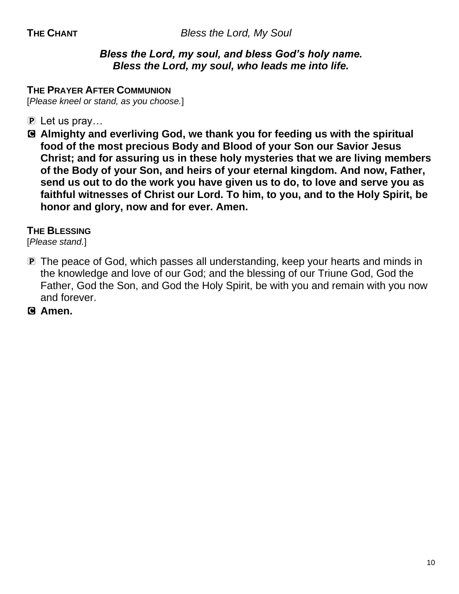### *Bless the Lord, my soul, and bless God's holy name. Bless the Lord, my soul, who leads me into life.*

#### **THE PRAYER AFTER COMMUNION**

[*Please kneel or stand, as you choose.*]

- P Let us pray…
- C **Almighty and everliving God, we thank you for feeding us with the spiritual food of the most precious Body and Blood of your Son our Savior Jesus Christ; and for assuring us in these holy mysteries that we are living members of the Body of your Son, and heirs of your eternal kingdom. And now, Father, send us out to do the work you have given us to do, to love and serve you as faithful witnesses of Christ our Lord. To him, to you, and to the Holy Spirit, be honor and glory, now and for ever. Amen.**

#### **THE BLESSING**

[*Please stand.*]

- P The peace of God, which passes all understanding, keep your hearts and minds in the knowledge and love of our God; and the blessing of our Triune God, God the Father, God the Son, and God the Holy Spirit, be with you and remain with you now and forever.
- C **Amen.**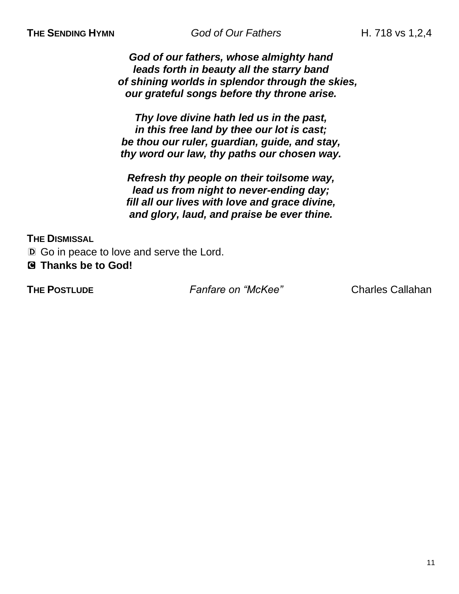**THE SENDING HYMN God of Our Fathers H. 718 vs 1,2,4** 

*God of our fathers, whose almighty hand leads forth in beauty all the starry band of shining worlds in splendor through the skies, our grateful songs before thy throne arise.*

*Thy love divine hath led us in the past, in this free land by thee our lot is cast; be thou our ruler, guardian, guide, and stay, thy word our law, thy paths our chosen way.*

*Refresh thy people on their toilsome way, lead us from night to never-ending day; fill all our lives with love and grace divine, and glory, laud, and praise be ever thine.*

**THE DISMISSAL** 

D Go in peace to love and serve the Lord.

C **Thanks be to God!** 

**THE POSTLUDE** *Fanfare on "McKee"* Charles Callahan